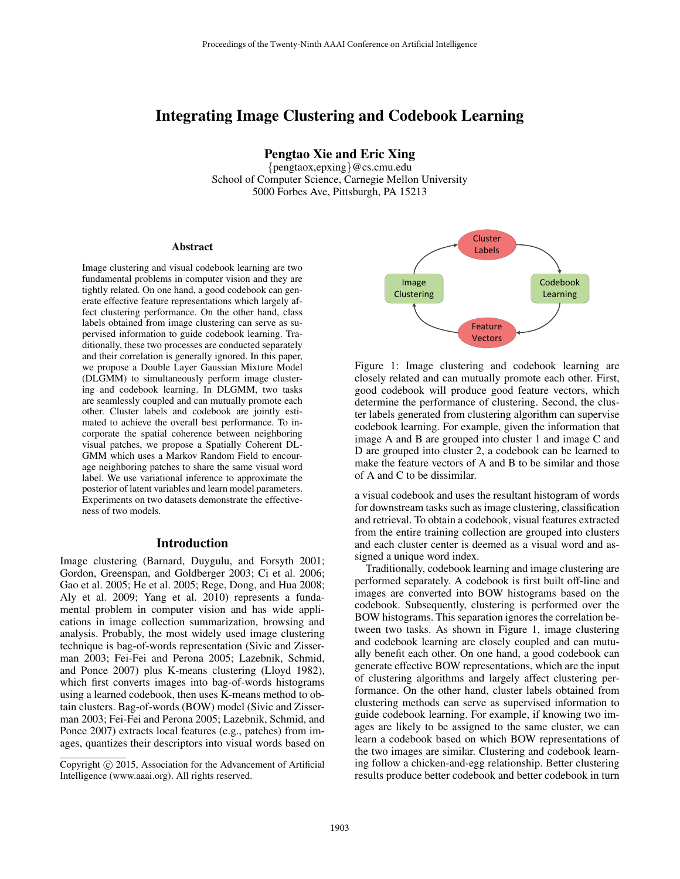# Integrating Image Clustering and Codebook Learning

Pengtao Xie and Eric Xing

{pengtaox,epxing}@cs.cmu.edu School of Computer Science, Carnegie Mellon University 5000 Forbes Ave, Pittsburgh, PA 15213

#### Abstract

Image clustering and visual codebook learning are two fundamental problems in computer vision and they are tightly related. On one hand, a good codebook can generate effective feature representations which largely affect clustering performance. On the other hand, class labels obtained from image clustering can serve as supervised information to guide codebook learning. Traditionally, these two processes are conducted separately and their correlation is generally ignored. In this paper, we propose a Double Layer Gaussian Mixture Model (DLGMM) to simultaneously perform image clustering and codebook learning. In DLGMM, two tasks are seamlessly coupled and can mutually promote each other. Cluster labels and codebook are jointly estimated to achieve the overall best performance. To incorporate the spatial coherence between neighboring visual patches, we propose a Spatially Coherent DL-GMM which uses a Markov Random Field to encourage neighboring patches to share the same visual word label. We use variational inference to approximate the posterior of latent variables and learn model parameters. Experiments on two datasets demonstrate the effectiveness of two models.

### Introduction

Image clustering (Barnard, Duygulu, and Forsyth 2001; Gordon, Greenspan, and Goldberger 2003; Ci et al. 2006; Gao et al. 2005; He et al. 2005; Rege, Dong, and Hua 2008; Aly et al. 2009; Yang et al. 2010) represents a fundamental problem in computer vision and has wide applications in image collection summarization, browsing and analysis. Probably, the most widely used image clustering technique is bag-of-words representation (Sivic and Zisserman 2003; Fei-Fei and Perona 2005; Lazebnik, Schmid, and Ponce 2007) plus K-means clustering (Lloyd 1982), which first converts images into bag-of-words histograms using a learned codebook, then uses K-means method to obtain clusters. Bag-of-words (BOW) model (Sivic and Zisserman 2003; Fei-Fei and Perona 2005; Lazebnik, Schmid, and Ponce 2007) extracts local features (e.g., patches) from images, quantizes their descriptors into visual words based on



Figure 1: Image clustering and codebook learning are closely related and can mutually promote each other. First, good codebook will produce good feature vectors, which determine the performance of clustering. Second, the cluster labels generated from clustering algorithm can supervise codebook learning. For example, given the information that image A and B are grouped into cluster 1 and image C and D are grouped into cluster 2, a codebook can be learned to make the feature vectors of A and B to be similar and those of A and C to be dissimilar.

a visual codebook and uses the resultant histogram of words for downstream tasks such as image clustering, classification and retrieval. To obtain a codebook, visual features extracted from the entire training collection are grouped into clusters and each cluster center is deemed as a visual word and assigned a unique word index.

Traditionally, codebook learning and image clustering are performed separately. A codebook is first built off-line and images are converted into BOW histograms based on the codebook. Subsequently, clustering is performed over the BOW histograms. This separation ignores the correlation between two tasks. As shown in Figure 1, image clustering and codebook learning are closely coupled and can mutually benefit each other. On one hand, a good codebook can generate effective BOW representations, which are the input of clustering algorithms and largely affect clustering performance. On the other hand, cluster labels obtained from clustering methods can serve as supervised information to guide codebook learning. For example, if knowing two images are likely to be assigned to the same cluster, we can learn a codebook based on which BOW representations of the two images are similar. Clustering and codebook learning follow a chicken-and-egg relationship. Better clustering results produce better codebook and better codebook in turn

Copyright © 2015, Association for the Advancement of Artificial Intelligence (www.aaai.org). All rights reserved.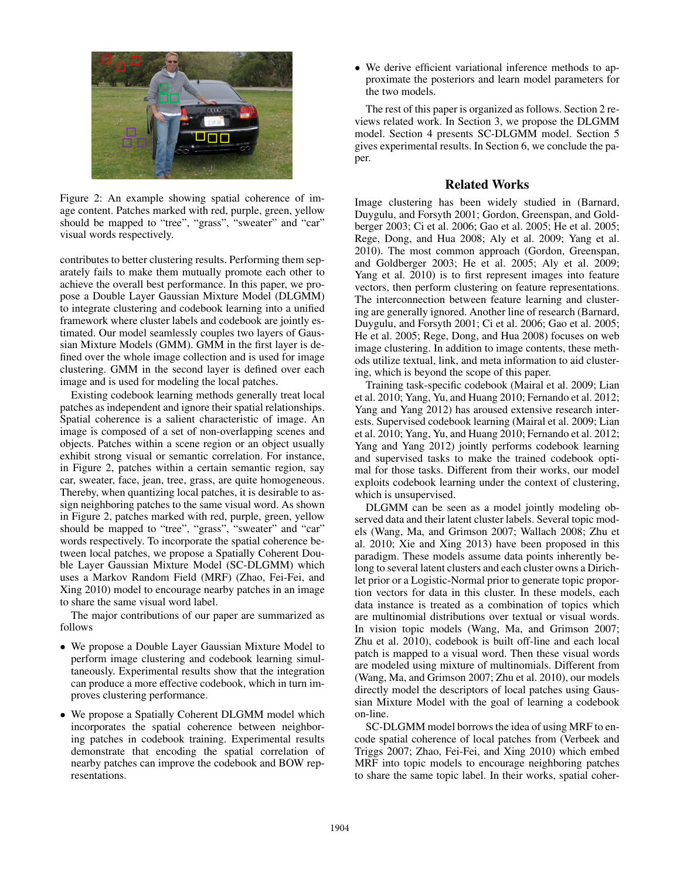

Figure 2: An example showing spatial coherence of image content. Patches marked with red, purple, green, yellow should be mapped to "tree", "grass", "sweater" and "car" visual words respectively.

contributes to better clustering results. Performing them separately fails to make them mutually promote each other to achieve the overall best performance. In this paper, we propose a Double Layer Gaussian Mixture Model (DLGMM) to integrate clustering and codebook learning into a unified framework where cluster labels and codebook are jointly estimated. Our model seamlessly couples two layers of Gaussian Mixture Models (GMM). GMM in the first layer is defined over the whole image collection and is used for image clustering. GMM in the second layer is defined over each image and is used for modeling the local patches.

Existing codebook learning methods generally treat local patches as independent and ignore their spatial relationships. Spatial coherence is a salient characteristic of image. An image is composed of a set of non-overlapping scenes and objects. Patches within a scene region or an object usually exhibit strong visual or semantic correlation. For instance, in Figure 2, patches within a certain semantic region, say car, sweater, face, jean, tree, grass, are quite homogeneous. Thereby, when quantizing local patches, it is desirable to assign neighboring patches to the same visual word. As shown in Figure 2, patches marked with red, purple, green, yellow should be mapped to "tree", "grass", "sweater" and "car" words respectively. To incorporate the spatial coherence between local patches, we propose a Spatially Coherent Double Layer Gaussian Mixture Model (SC-DLGMM) which uses a Markov Random Field (MRF) (Zhao, Fei-Fei, and Xing 2010) model to encourage nearby patches in an image to share the same visual word label.

The major contributions of our paper are summarized as follows

- We propose a Double Layer Gaussian Mixture Model to perform image clustering and codebook learning simultaneously. Experimental results show that the integration can produce a more effective codebook, which in turn improves clustering performance.
- We propose a Spatially Coherent DLGMM model which incorporates the spatial coherence between neighboring patches in codebook training. Experimental results demonstrate that encoding the spatial correlation of nearby patches can improve the codebook and BOW representations.

• We derive efficient variational inference methods to approximate the posteriors and learn model parameters for the two models.

The rest of this paper is organized as follows. Section 2 reviews related work. In Section 3, we propose the DLGMM model. Section 4 presents SC-DLGMM model. Section 5 gives experimental results. In Section 6, we conclude the paper.

## Related Works

Image clustering has been widely studied in (Barnard, Duygulu, and Forsyth 2001; Gordon, Greenspan, and Goldberger 2003; Ci et al. 2006; Gao et al. 2005; He et al. 2005; Rege, Dong, and Hua 2008; Aly et al. 2009; Yang et al. 2010). The most common approach (Gordon, Greenspan, and Goldberger 2003; He et al. 2005; Aly et al. 2009; Yang et al. 2010) is to first represent images into feature vectors, then perform clustering on feature representations. The interconnection between feature learning and clustering are generally ignored. Another line of research (Barnard, Duygulu, and Forsyth 2001; Ci et al. 2006; Gao et al. 2005; He et al. 2005; Rege, Dong, and Hua 2008) focuses on web image clustering. In addition to image contents, these methods utilize textual, link, and meta information to aid clustering, which is beyond the scope of this paper.

Training task-specific codebook (Mairal et al. 2009; Lian et al. 2010; Yang, Yu, and Huang 2010; Fernando et al. 2012; Yang and Yang 2012) has aroused extensive research interests. Supervised codebook learning (Mairal et al. 2009; Lian et al. 2010; Yang, Yu, and Huang 2010; Fernando et al. 2012; Yang and Yang 2012) jointly performs codebook learning and supervised tasks to make the trained codebook optimal for those tasks. Different from their works, our model exploits codebook learning under the context of clustering, which is unsupervised.

DLGMM can be seen as a model jointly modeling observed data and their latent cluster labels. Several topic models (Wang, Ma, and Grimson 2007; Wallach 2008; Zhu et al. 2010; Xie and Xing 2013) have been proposed in this paradigm. These models assume data points inherently belong to several latent clusters and each cluster owns a Dirichlet prior or a Logistic-Normal prior to generate topic proportion vectors for data in this cluster. In these models, each data instance is treated as a combination of topics which are multinomial distributions over textual or visual words. In vision topic models (Wang, Ma, and Grimson 2007; Zhu et al. 2010), codebook is built off-line and each local patch is mapped to a visual word. Then these visual words are modeled using mixture of multinomials. Different from (Wang, Ma, and Grimson 2007; Zhu et al. 2010), our models directly model the descriptors of local patches using Gaussian Mixture Model with the goal of learning a codebook on-line.

SC-DLGMM model borrows the idea of using MRF to encode spatial coherence of local patches from (Verbeek and Triggs 2007; Zhao, Fei-Fei, and Xing 2010) which embed MRF into topic models to encourage neighboring patches to share the same topic label. In their works, spatial coher-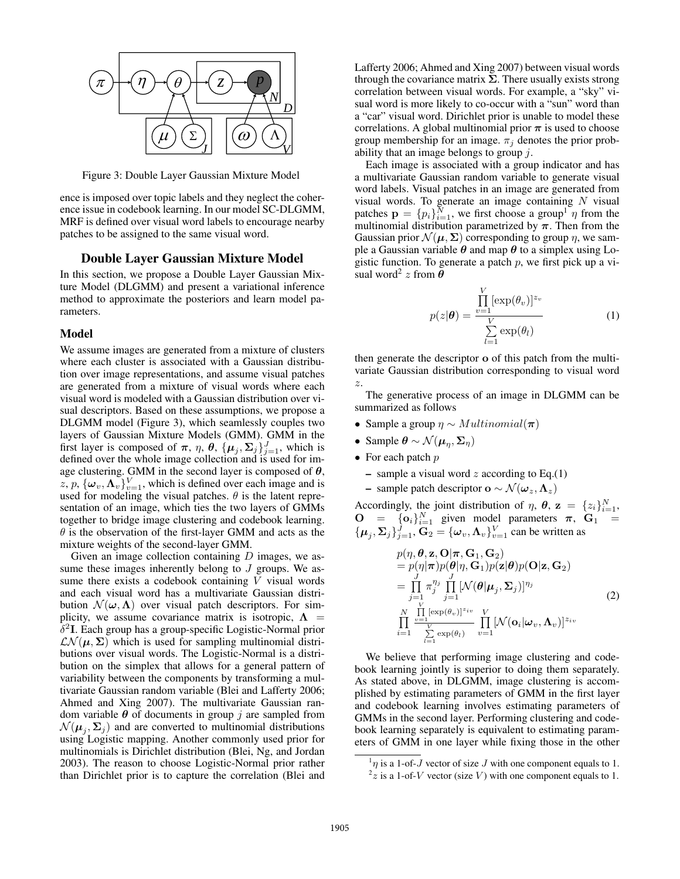

Figure 3: Double Layer Gaussian Mixture Model

ence is imposed over topic labels and they neglect the coherence issue in codebook learning. In our model SC-DLGMM, MRF is defined over visual word labels to encourage nearby patches to be assigned to the same visual word.

### Double Layer Gaussian Mixture Model

In this section, we propose a Double Layer Gaussian Mixture Model (DLGMM) and present a variational inference method to approximate the posteriors and learn model parameters.

#### Model

We assume images are generated from a mixture of clusters where each cluster is associated with a Gaussian distribution over image representations, and assume visual patches are generated from a mixture of visual words where each visual word is modeled with a Gaussian distribution over visual descriptors. Based on these assumptions, we propose a DLGMM model (Figure 3), which seamlessly couples two layers of Gaussian Mixture Models (GMM). GMM in the first layer is composed of  $\pi$ ,  $\eta$ ,  $\theta$ ,  $\{\mu_j, \Sigma_j\}_{j=1}^J$ , which is defined over the whole image collection and is used for image clustering. GMM in the second layer is composed of  $\theta$ , z, p,  $\{\boldsymbol{\omega}_v, \boldsymbol{\Lambda}_v\}_{v=1}^V$ , which is defined over each image and is used for modeling the visual patches.  $\theta$  is the latent representation of an image, which ties the two layers of GMMs together to bridge image clustering and codebook learning.  $\theta$  is the observation of the first-layer GMM and acts as the mixture weights of the second-layer GMM.

Given an image collection containing  $D$  images, we assume these images inherently belong to  $J$  groups. We assume there exists a codebook containing  $V$  visual words and each visual word has a multivariate Gaussian distribution  $\mathcal{N}(\omega,\Lambda)$  over visual patch descriptors. For simplicity, we assume covariance matrix is isotropic,  $\Lambda$  =  $\delta^2$ I. Each group has a group-specific Logistic-Normal prior  $\mathcal{LN}(\mu, \Sigma)$  which is used for sampling multinomial distributions over visual words. The Logistic-Normal is a distribution on the simplex that allows for a general pattern of variability between the components by transforming a multivariate Gaussian random variable (Blei and Lafferty 2006; Ahmed and Xing 2007). The multivariate Gaussian random variable  $\theta$  of documents in group j are sampled from  $\mathcal{N}(\boldsymbol{\mu}_j, \boldsymbol{\Sigma}_j)$  and are converted to multinomial distributions using Logistic mapping. Another commonly used prior for multinomials is Dirichlet distribution (Blei, Ng, and Jordan 2003). The reason to choose Logistic-Normal prior rather than Dirichlet prior is to capture the correlation (Blei and

*D*sual word is more likely to co-occur with a "sun" word than  $N$  correlation between visual words. For example, a "sky" vi-<br>sual word is more likely to so occur with a "sun" word than  $\theta$   $\rightarrow$   $\left( z \rightarrow$  *p*  $\right)$  through the covariance matrix  $\Sigma$ . There usually exists strong  $\underbrace{\mu}(\Sigma)$   $\underbrace{\sigma}(\Lambda)$  correlations. A global multinomial prior  $\pi$  is used to choose<br>group membership for an image.  $\pi_j$  denotes the prior prob-<br>ability that an image belongs to group *i*. Lafferty 2006; Ahmed and Xing 2007) between visual words a "car" visual word. Dirichlet prior is unable to model these correlations. A global multinomial prior  $\pi$  is used to choose ability that an image belongs to group  $j$ .

> Each image is associated with a group indicator and has a multivariate Gaussian random variable to generate visual word labels. Visual patches in an image are generated from visual words. To generate an image containing  $N$  visual patches  $\mathbf{p} = \{p_i\}_{i=1}^{\bar{N}}$ , we first choose a group<sup>1</sup>  $\eta$  from the multinomial distribution parametrized by  $\pi$ . Then from the Gaussian prior  $\mathcal{N}(\mu, \Sigma)$  corresponding to group  $\eta$ , we sample a Gaussian variable  $\theta$  and map  $\theta$  to a simplex using Logistic function. To generate a patch  $p$ , we first pick up a visual word<sup>2</sup>  $z$  from  $\tilde{\boldsymbol{\theta}}$

$$
p(z|\boldsymbol{\theta}) = \frac{\prod_{v=1}^{V} [\exp(\theta_v)]^{z_v}}{\sum_{l=1}^{V} \exp(\theta_l)}
$$
(1)

then generate the descriptor o of this patch from the multivariate Gaussian distribution corresponding to visual word z.

The generative process of an image in DLGMM can be summarized as follows

- Sample a group  $\eta \sim Multinomial(\pi)$
- Sample  $\boldsymbol{\theta} \sim \mathcal{N}(\boldsymbol{\mu}_{\eta}, \boldsymbol{\Sigma}_{\eta})$
- For each patch  $p$ 
	- sample a visual word z according to Eq.(1)
	- sample patch descriptor **o** ∼  $\mathcal{N}(\boldsymbol{\omega}_z, \boldsymbol{\Lambda}_z)$

Accordingly, the joint distribution of  $\eta$ ,  $\theta$ ,  $\mathbf{z} = \{z_i\}_{i=1}^N$ ,  $\mathbf{O}$  =  $\{\mathbf{o}_i\}_{i=1}^N$  given model parameters  $\boldsymbol{\pi}$ ,  $\mathbf{G}_1$  =  ${\{\boldsymbol{\mu}_j, \boldsymbol{\Sigma}_j\}_{j=1}^J, \mathbf{G}_2} = {\{\boldsymbol{\omega}_v, \boldsymbol{\Lambda}_v\}_{v=1}^V}$  can be written as

$$
p(\eta, \theta, \mathbf{z}, \mathbf{O} | \boldsymbol{\pi}, \mathbf{G}_1, \mathbf{G}_2) = p(\eta | \boldsymbol{\pi}) p(\theta | \eta, \mathbf{G}_1) p(\mathbf{z} | \theta) p(\mathbf{O} | \mathbf{z}, \mathbf{G}_2) = \prod_{j=1}^{J} \pi_j^{\eta_j} \prod_{j=1}^{J} [\mathcal{N}(\theta | \boldsymbol{\mu}_j, \boldsymbol{\Sigma}_j)]^{\eta_j} \prod_{i=1}^{N} \frac{\prod_{v=1}^{V} [\exp(\theta_v)]^{z_{iv}}}{\sum_{i=1}^{V} \exp(\theta_i)} \prod_{v=1}^{V} [\mathcal{N}(\mathbf{o}_i | \boldsymbol{\omega}_v, \boldsymbol{\Lambda}_v)]^{z_{iv}}
$$
(2)

We believe that performing image clustering and codebook learning jointly is superior to doing them separately. As stated above, in DLGMM, image clustering is accomplished by estimating parameters of GMM in the first layer and codebook learning involves estimating parameters of GMMs in the second layer. Performing clustering and codebook learning separately is equivalent to estimating parameters of GMM in one layer while fixing those in the other

 $\frac{1}{\eta}$  is a 1-of-*J* vector of size *J* with one component equals to 1.

 $2z$  is a 1-of-V vector (size V) with one component equals to 1.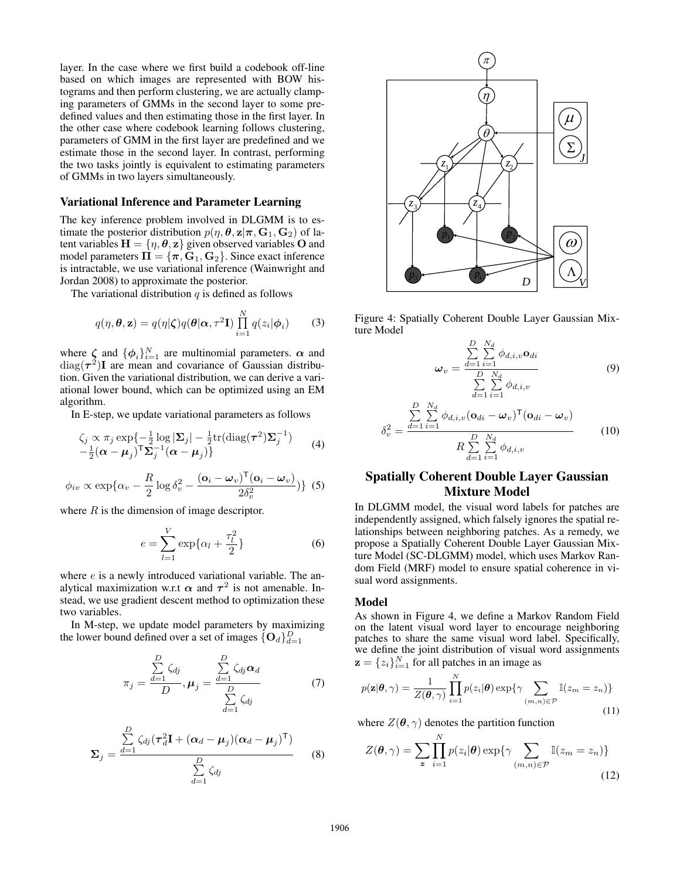layer. In the case where we first build a codebook off-line based on which images are represented with BOW histograms and then perform clustering, we are actually clamping parameters of GMMs in the second layer to some predefined values and then estimating those in the first layer. In the other case where codebook learning follows clustering, parameters of GMM in the first layer are predefined and we estimate those in the second layer. In contrast, performing the two tasks jointly is equivalent to estimating parameters of GMMs in two layers simultaneously.

#### Variational Inference and Parameter Learning

The key inference problem involved in DLGMM is to estimate the posterior distribution  $p(\eta, \theta, \mathbf{z} | \boldsymbol{\pi}, \mathbf{G}_1, \mathbf{G}_2)$  of latent variables  $H = \{\eta, \theta, z\}$  given observed variables O and model parameters  $\Pi = {\pi, G_1, G_2}$ . Since exact inference is intractable, we use variational inference (Wainwright and Jordan 2008) to approximate the posterior.

The variational distribution  $q$  is defined as follows

$$
q(\eta, \boldsymbol{\theta}, \mathbf{z}) = q(\eta | \boldsymbol{\zeta}) q(\boldsymbol{\theta} | \boldsymbol{\alpha}, \tau^2 \mathbf{I}) \prod_{i=1}^N q(z_i | \boldsymbol{\phi}_i)
$$
(3)

where  $\zeta$  and  $\{\phi_i\}_{i=1}^N$  are multinomial parameters.  $\alpha$  and  $diag(\tau^2)$ I are mean and covariance of Gaussian distribution. Given the variational distribution, we can derive a variational lower bound, which can be optimized using an EM algorithm.

In E-step, we update variational parameters as follows

$$
\zeta_j \propto \pi_j \exp\{-\frac{1}{2}\log|\Sigma_j| - \frac{1}{2}\text{tr}(\text{diag}(\boldsymbol{\tau}^2)\boldsymbol{\Sigma}_j^{-1}) - \frac{1}{2}(\boldsymbol{\alpha} - \boldsymbol{\mu}_j)^T\boldsymbol{\Sigma}_j^{-1}(\boldsymbol{\alpha} - \boldsymbol{\mu}_j)\}\
$$
\n(4)

$$
\phi_{iv} \propto \exp\{\alpha_v - \frac{R}{2}\log \delta_v^2 - \frac{(\mathbf{o}_i - \boldsymbol{\omega}_v)^\mathsf{T}(\mathbf{o}_i - \boldsymbol{\omega}_v)}{2\delta_v^2}\}\ \ (5)
$$

where  $R$  is the dimension of image descriptor.

$$
e = \sum_{l=1}^{V} \exp\{\alpha_l + \frac{\tau_l^2}{2}\}\tag{6}
$$

where  $e$  is a newly introduced variational variable. The analytical maximization w.r.t  $\alpha$  and  $\tau^2$  is not amenable. Instead, we use gradient descent method to optimization these two variables.

In M-step, we update model parameters by maximizing the lower bound defined over a set of images  ${O_d}_{d=1}^D$ 

$$
\pi_j = \frac{\sum\limits_{d=1}^D \zeta_{dj}}{D}, \mu_j = \frac{\sum\limits_{d=1}^D \zeta_{dj} \alpha_d}{\sum\limits_{d=1}^D \zeta_{dj}}
$$
(7)

$$
\Sigma_j = \frac{\sum\limits_{d=1}^D \zeta_{dj} (\tau_d^2 \mathbf{I} + (\alpha_d - \boldsymbol{\mu}_j)(\alpha_d - \boldsymbol{\mu}_j)^{\mathsf{T}})}{\sum\limits_{d=1}^D \zeta_{dj}}
$$
(8)



Figure 4: Spatially Coherent Double Layer Gaussian Mixture Model

$$
\omega_v = \frac{\sum_{d=1}^{D} \sum_{i=1}^{N_d} \phi_{d,i,v} \mathbf{o}_{di}}{\sum_{d=1}^{D} \sum_{i=1}^{N_d} \phi_{d,i,v}} \tag{9}
$$
\n
$$
\delta_v^2 = \frac{\sum_{d=1}^{D} \sum_{i=1}^{N_d} \phi_{d,i,v} (\mathbf{o}_{di} - \omega_v)^\mathsf{T} (\mathbf{o}_{di} - \omega_v)}{R \sum_{d=1}^{D} \sum_{i=1}^{N_d} \phi_{d,i,v}} \tag{10}
$$

# Spatially Coherent Double Layer Gaussian Mixture Model

In DLGMM model, the visual word labels for patches are independently assigned, which falsely ignores the spatial relationships between neighboring patches. As a remedy, we propose a Spatially Coherent Double Layer Gaussian Mixture Model (SC-DLGMM) model, which uses Markov Random Field (MRF) model to ensure spatial coherence in visual word assignments.

#### Model

As shown in Figure 4, we define a Markov Random Field on the latent visual word layer to encourage neighboring patches to share the same visual word label. Specifically, we define the joint distribution of visual word assignments  $\mathbf{z} = \{z_i\}_{i=1}^N$  for all patches in an image as

$$
p(\mathbf{z}|\boldsymbol{\theta}, \gamma) = \frac{1}{Z(\boldsymbol{\theta}, \gamma)} \prod_{i=1}^{N} p(z_i|\boldsymbol{\theta}) \exp\{\gamma \sum_{(m,n) \in \mathcal{P}} \mathbb{I}(z_m = z_n)\}
$$
(11)

where  $Z(\theta, \gamma)$  denotes the partition function

$$
Z(\boldsymbol{\theta}, \gamma) = \sum_{\mathbf{z}} \prod_{i=1}^{N} p(z_i | \boldsymbol{\theta}) \exp\{\gamma \sum_{(m,n) \in \mathcal{P}} \mathbb{I}(z_m = z_n)\}
$$
(12)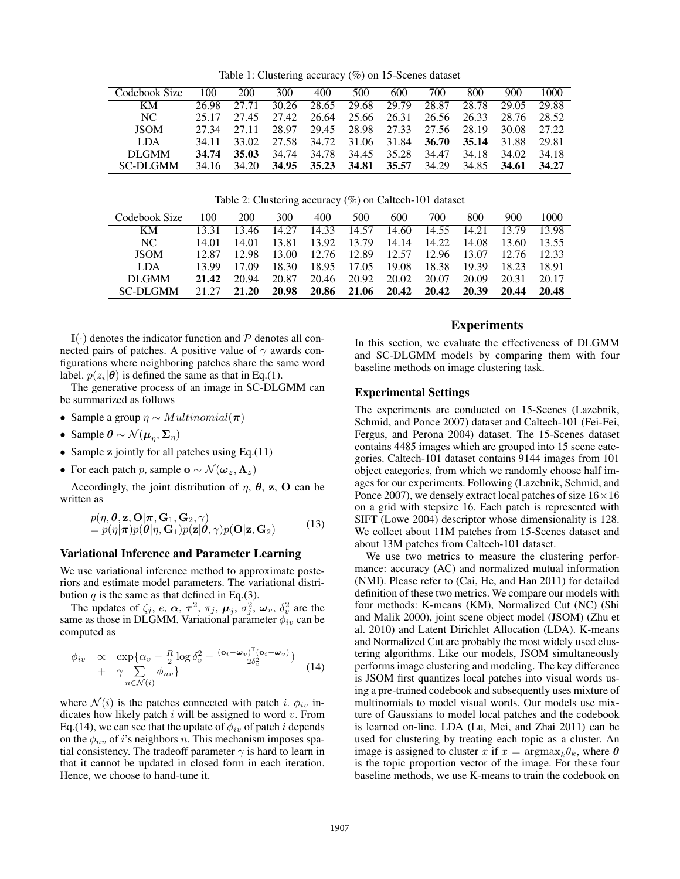Table 1: Clustering accuracy (%) on 15-Scenes dataset

| Codebook Size | 100   | 200   | 300   | 400   | 500   | 600   | 700   | 800   | 900   | 1000  |
|---------------|-------|-------|-------|-------|-------|-------|-------|-------|-------|-------|
| KМ            | 26.98 | 27 71 | 30.26 | 28.65 | 29.68 | 29.79 | 28.87 | 28.78 | 29.05 | 29.88 |
| NC.           | 25.17 | 27.45 | 27.42 | 26.64 | 25.66 | 26.31 | 26.56 | 26.33 | 28.76 | 28.52 |
| <b>JSOM</b>   | 27.34 | 27.11 | 28.97 | 29.45 | 28.98 | 27.33 | 27.56 | 28.19 | 30.08 | 27.22 |
| <b>LDA</b>    | 34.11 | 33.02 | 27.58 | 34.72 | 31.06 | 31.84 | 36.70 | 35.14 | 31.88 | 29.81 |
| DLGMM         | 34.74 | 35.03 | 34.74 | 34.78 | 34.45 | 35.28 | 34.47 | 34.18 | 34.02 | 34.18 |
| SC-DLGMM      | 34 16 | 34.20 | 34.95 | 35.23 | 34.81 | 35.57 | 34.29 | 34.85 | 34.61 | 34.27 |

Table 2: Clustering accuracy (%) on Caltech-101 dataset

| Codebook Size   | 100   | 200   | 300   | 400   | 500   | 600   | 700   | 800   | 900   | 1000  |
|-----------------|-------|-------|-------|-------|-------|-------|-------|-------|-------|-------|
| KM              | 13 31 | 13.46 | 14.27 | 14.33 | 14.57 | 14.60 | 14.55 | 14.21 | 13 79 | 13.98 |
| NC.             | 14.01 | 14.01 | 13.81 | 13.92 | 13.79 | 14.14 | 14.22 | 14.08 | 13.60 | 13.55 |
| <b>JSOM</b>     | 12.87 | 12.98 | 13.00 | 12.76 | 12.89 | 12.57 | 12.96 | 13.07 | 12.76 | 12.33 |
| LDA             | 13.99 | 17.09 | 18.30 | 18.95 | 17.05 | 19.08 | 18.38 | 19.39 | 18 23 | 18.91 |
| DLGMM           | 21.42 | 20.94 | 20.87 | 20.46 | 20.92 | 20.02 | 20.07 | 20.09 | 20.31 | 20 17 |
| <b>SC-DLGMM</b> | 21 27 | 21.20 | 20.98 | 20.86 | 21.06 | 20.42 | 20.42 | 20.39 | 20.44 | 20.48 |

 $\mathbb{I}(\cdot)$  denotes the indicator function and P denotes all connected pairs of patches. A positive value of  $\gamma$  awards configurations where neighboring patches share the same word label.  $p(z_i|\theta)$  is defined the same as that in Eq.(1).

The generative process of an image in SC-DLGMM can be summarized as follows

- Sample a group  $\eta \sim Multinomial(\pi)$
- Sample  $\boldsymbol{\theta} \sim \mathcal{N}(\boldsymbol{\mu}_{\eta}, \boldsymbol{\Sigma}_{\eta})$
- Sample z jointly for all patches using Eq.(11)
- For each patch p, sample  $\mathbf{o} \sim \mathcal{N}(\boldsymbol{\omega}_z, \boldsymbol{\Lambda}_z)$

Accordingly, the joint distribution of  $\eta$ ,  $\theta$ ,  $z$ , O can be written as

$$
p(\eta, \theta, \mathbf{z}, \mathbf{O} | \boldsymbol{\pi}, \mathbf{G}_1, \mathbf{G}_2, \gamma) = p(\eta | \boldsymbol{\pi}) p(\boldsymbol{\theta} | \eta, \mathbf{G}_1) p(\mathbf{z} | \boldsymbol{\theta}, \gamma) p(\mathbf{O} | \mathbf{z}, \mathbf{G}_2)
$$
(13)

#### Variational Inference and Parameter Learning

We use variational inference method to approximate posteriors and estimate model parameters. The variational distribution  $q$  is the same as that defined in Eq.(3).

The updates of  $\zeta_j$ , e,  $\alpha$ ,  $\tau^2$ ,  $\pi_j$ ,  $\mu_j$ ,  $\sigma_j^2$ ,  $\omega_v$ ,  $\delta_v^2$  are the same as those in DLGMM. Variational parameter  $\phi_{iv}$  can be computed as

$$
\phi_{iv} \propto \exp\{\alpha_v - \frac{R}{2}\log \delta_v^2 - \frac{(\mathbf{o}_i - \boldsymbol{\omega}_v)^\top (\mathbf{o}_i - \boldsymbol{\omega}_v)}{2\delta_v^2}\}\n+ \gamma \sum_{n \in \mathcal{N}(i)} \phi_{nv}\n\}
$$
\n(14)

where  $\mathcal{N}(i)$  is the patches connected with patch i.  $\phi_{iv}$  indicates how likely patch  $i$  will be assigned to word  $v$ . From Eq.(14), we can see that the update of  $\phi_{iv}$  of patch *i* depends on the  $\phi_{nv}$  of i's neighbors n. This mechanism imposes spatial consistency. The tradeoff parameter  $\gamma$  is hard to learn in that it cannot be updated in closed form in each iteration. Hence, we choose to hand-tune it.

## **Experiments**

In this section, we evaluate the effectiveness of DLGMM and SC-DLGMM models by comparing them with four baseline methods on image clustering task.

#### Experimental Settings

The experiments are conducted on 15-Scenes (Lazebnik, Schmid, and Ponce 2007) dataset and Caltech-101 (Fei-Fei, Fergus, and Perona 2004) dataset. The 15-Scenes dataset contains 4485 images which are grouped into 15 scene categories. Caltech-101 dataset contains 9144 images from 101 object categories, from which we randomly choose half images for our experiments. Following (Lazebnik, Schmid, and Ponce 2007), we densely extract local patches of size  $16 \times 16$ on a grid with stepsize 16. Each patch is represented with SIFT (Lowe 2004) descriptor whose dimensionality is 128. We collect about 11M patches from 15-Scenes dataset and about 13M patches from Caltech-101 dataset.

We use two metrics to measure the clustering performance: accuracy (AC) and normalized mutual information (NMI). Please refer to (Cai, He, and Han 2011) for detailed definition of these two metrics. We compare our models with four methods: K-means (KM), Normalized Cut (NC) (Shi and Malik 2000), joint scene object model (JSOM) (Zhu et al. 2010) and Latent Dirichlet Allocation (LDA). K-means and Normalized Cut are probably the most widely used clustering algorithms. Like our models, JSOM simultaneously performs image clustering and modeling. The key difference is JSOM first quantizes local patches into visual words using a pre-trained codebook and subsequently uses mixture of multinomials to model visual words. Our models use mixture of Gaussians to model local patches and the codebook is learned on-line. LDA (Lu, Mei, and Zhai 2011) can be used for clustering by treating each topic as a cluster. An image is assigned to cluster x if  $x = \arg \max_k \theta_k$ , where  $\theta$ is the topic proportion vector of the image. For these four baseline methods, we use K-means to train the codebook on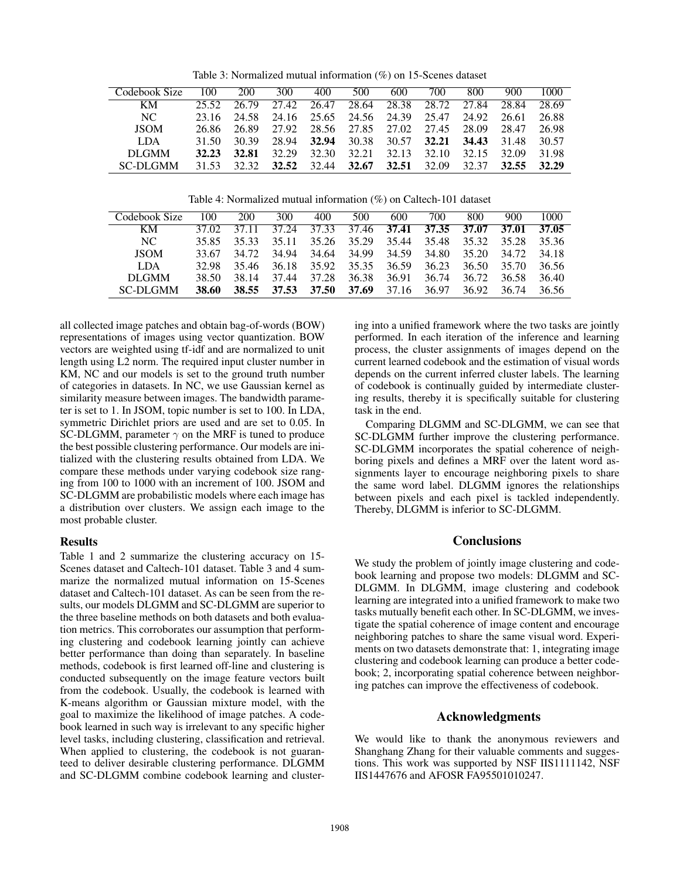Table 3: Normalized mutual information (%) on 15-Scenes dataset

| Codebook Size   | 100   | 200   | 300   | 400   | 500   | 600   | 700   | 800   | 900   | 1000  |
|-----------------|-------|-------|-------|-------|-------|-------|-------|-------|-------|-------|
| KM              | 25.52 | 26.79 | 27.42 | 26.47 | 28.64 | 28.38 | 28.72 | 27.84 | 28.84 | 28.69 |
| NC.             | 23.16 | 24.58 | 24.16 | 25.65 | 24.56 | 24.39 | 25.47 | 24.92 | 26.61 | 26.88 |
| <b>JSOM</b>     | 26.86 | 26.89 | 27.92 | 28.56 | 27.85 | 27.02 | 27.45 | 28.09 | 28.47 | 26.98 |
| LDA.            | 31.50 | 30.39 | 28.94 | 32.94 | 30.38 | 30.57 | 32.21 | 34.43 | 31.48 | 30.57 |
| <b>DLGMM</b>    | 32.23 | 32.81 | 32.29 | 32.30 | 32.21 | 32.13 | 32.10 | 32.15 | 32.09 | 31.98 |
| <b>SC-DLGMM</b> | 31.53 | 32.32 | 32.52 | 32.44 | 32.67 | 32.51 | 32.09 | 32.37 | 32.55 | 32.29 |

Table 4: Normalized mutual information (%) on Caltech-101 dataset

| Codebook Size   | 100   | 200   | 300   | 400   | 500   | 600      | 700   | 800   | 900   | 1000  |
|-----------------|-------|-------|-------|-------|-------|----------|-------|-------|-------|-------|
| KM              | 37.02 | 37 11 | 37.24 | 37.33 | 37.46 | 37.41    | 37.35 | 37.07 | 37.01 | 37.05 |
| NC.             | 35.85 | 35 33 | 35 11 | 35.26 | 35.29 | 35.44    | 35.48 | 35.32 | 35.28 | 35.36 |
| <b>JSOM</b>     | 33.67 | 34.72 | 34.94 | 34.64 | 34.99 | 34.59    | 34.80 | 35.20 | 34.72 | 34.18 |
| LDA             | 32.98 | 35.46 | 36.18 | 35.92 | 35.35 | 36.59    | 36.23 | 36.50 | 35.70 | 36.56 |
| DLGMM           | 38.50 | 38.14 | 37.44 | 37.28 | 36.38 | 36.91    | 36.74 | 36.72 | 36.58 | 36.40 |
| <b>SC-DLGMM</b> | 38.60 | 38.55 | 37.53 | 37.50 | 37.69 | 37<br>16 | 36.97 | 36.92 | 36.74 | 36.56 |

all collected image patches and obtain bag-of-words (BOW) representations of images using vector quantization. BOW vectors are weighted using tf-idf and are normalized to unit length using L2 norm. The required input cluster number in KM, NC and our models is set to the ground truth number of categories in datasets. In NC, we use Gaussian kernel as similarity measure between images. The bandwidth parameter is set to 1. In JSOM, topic number is set to 100. In LDA, symmetric Dirichlet priors are used and are set to 0.05. In SC-DLGMM, parameter  $\gamma$  on the MRF is tuned to produce the best possible clustering performance. Our models are initialized with the clustering results obtained from LDA. We compare these methods under varying codebook size ranging from 100 to 1000 with an increment of 100. JSOM and SC-DLGMM are probabilistic models where each image has a distribution over clusters. We assign each image to the most probable cluster.

## Results

Table 1 and 2 summarize the clustering accuracy on 15- Scenes dataset and Caltech-101 dataset. Table 3 and 4 summarize the normalized mutual information on 15-Scenes dataset and Caltech-101 dataset. As can be seen from the results, our models DLGMM and SC-DLGMM are superior to the three baseline methods on both datasets and both evaluation metrics. This corroborates our assumption that performing clustering and codebook learning jointly can achieve better performance than doing than separately. In baseline methods, codebook is first learned off-line and clustering is conducted subsequently on the image feature vectors built from the codebook. Usually, the codebook is learned with K-means algorithm or Gaussian mixture model, with the goal to maximize the likelihood of image patches. A codebook learned in such way is irrelevant to any specific higher level tasks, including clustering, classification and retrieval. When applied to clustering, the codebook is not guaranteed to deliver desirable clustering performance. DLGMM and SC-DLGMM combine codebook learning and clustering into a unified framework where the two tasks are jointly performed. In each iteration of the inference and learning process, the cluster assignments of images depend on the current learned codebook and the estimation of visual words depends on the current inferred cluster labels. The learning of codebook is continually guided by intermediate clustering results, thereby it is specifically suitable for clustering task in the end.

Comparing DLGMM and SC-DLGMM, we can see that SC-DLGMM further improve the clustering performance. SC-DLGMM incorporates the spatial coherence of neighboring pixels and defines a MRF over the latent word assignments layer to encourage neighboring pixels to share the same word label. DLGMM ignores the relationships between pixels and each pixel is tackled independently. Thereby, DLGMM is inferior to SC-DLGMM.

# **Conclusions**

We study the problem of jointly image clustering and codebook learning and propose two models: DLGMM and SC-DLGMM. In DLGMM, image clustering and codebook learning are integrated into a unified framework to make two tasks mutually benefit each other. In SC-DLGMM, we investigate the spatial coherence of image content and encourage neighboring patches to share the same visual word. Experiments on two datasets demonstrate that: 1, integrating image clustering and codebook learning can produce a better codebook; 2, incorporating spatial coherence between neighboring patches can improve the effectiveness of codebook.

## Acknowledgments

We would like to thank the anonymous reviewers and Shanghang Zhang for their valuable comments and suggestions. This work was supported by NSF IIS1111142, NSF IIS1447676 and AFOSR FA95501010247.